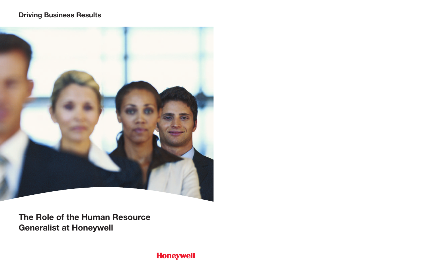# **Driving Business Results**



**The Role of the Human Resource Generalist at Honeywell** 

**Honeywell**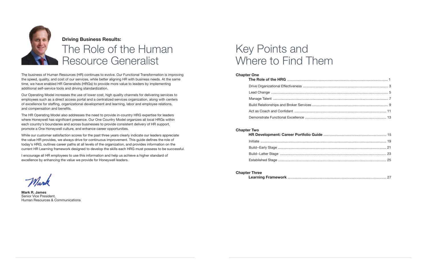The business of Human Resources (HR) continues to evolve. Our Functional Transformation is improving the speed, quality, and cost of our services, while better aligning HR with business needs. At the same time, we have enabled HR Generalists (HRGs) to provide more value to leaders by implementing additional self-service tools and driving standardization.

Our Operating Model increases the use of lower cost, high quality channels for delivering services to employees such as a direct access portal and a centralized services organization, along with centers of excellence for staffing, organizational development and learning, labor and employee relations, and compensation and benefits.

The HR Operating Model also addresses the need to provide in-country HRG expertise for leaders where Honeywell has significant presence. Our One Country Model organizes all local HRGs within each country's boundaries and across businesses to provide consistent delivery of HR support, promote a One Honeywell culture, and enhance career opportunities.

While our customer satisfaction scores for the past three years clearly indicate our leaders appreciate the value HR provides, we always drive for continuous improvement. This guide defines the role of today's HRG, outlines career paths at all levels of the organization, and provides information on the current HR Learning framework designed to develop the skills each HRG must possess to be successful.

I encourage all HR employees to use this information and help us achieve a higher standard of excellence by enhancing the value we provide for Honeywell leaders.

**Mark R. James**  Senior Vice President, Human Resources & Communications

## **HR Development: Career Portfolio G** Initiate .................................................................................................................................. 19 Build–Early Stage ................................................................................................................ 21 Build–Latter Stage .............................................................................................................. 23 Established Stage ................................................................................................................ 25

# The Role of the Human Resource Generalist

# Key Points and Where to Find Them

| <b>Chapter One</b> |                                                |  |
|--------------------|------------------------------------------------|--|
|                    |                                                |  |
|                    | Drive Organizational Effectiveness             |  |
|                    |                                                |  |
|                    |                                                |  |
|                    | <b>Build Relationships and Broker Services</b> |  |
|                    | Act as Coach and Confidant                     |  |
|                    | Demonstrate Functional Excellence              |  |

|--|

### **Chapter Two**

**Chapter Three**

**Learning Framework** ...................................................................................................... 27



## **Driving Business Results:**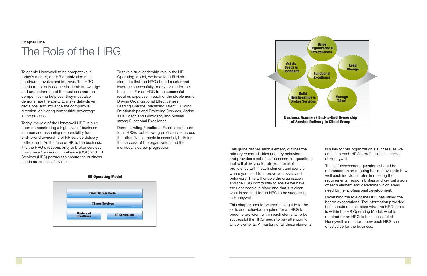To enable Honeywell to be competitive in today's market, our HR organization must continue to evolve and improve. The HRG needs to not only acquire in-depth knowledge and understanding of the business and the competitive marketplace, they must also demonstrate the ability to make data-driven decisions, and influence the company's direction, delivering competitive advantage in the process.

Today, the role of the Honeywell HRG is built upon demonstrating a high level of business acumen and assuming responsibility for end-to-end ownership of HR service delivery to the client. As the face of HR to the business, it is the HRG's responsibility to broker services from these Centers of Excellence (COE) and HR Services (HRS) partners to ensure the business needs are successfully met.

To take a true leadership role in the HR Operating Model, we have identified six elements that the HRG should master and leverage successfully to drive value for the business. For an HRG to be successful requires expertise in each of the six elements: Driving Organizational Effectiveness, Leading Change, Managing Talent, Building Relationships and Brokering Services, Acting as a Coach and Confidant, and posses strong Functional Excellence.

Demonstrating Functional Excellence is core to all HRGs, but showing proficiencies across the other five elements is essential, both for the success of the organization and the individual's career progression. This guide defines each element, outlines the

primary responsibilities and key behaviors, and provides a set of self-assessment questions that will allow you to rate your level of proficiency within each element and identify where you need to improve your skills and behaviors. This will enable the organization and the HRG community to ensure we have the right people in place and that it is clear what is required for an HRG to be successful in Honeywell.

This chapter should be used as a guide to the skills and behaviors required for an HRG to become proficient within each element. To be successful the HRG needs to pay attention to all six elements. A mastery of all these elements is a key for our organization's success, as well critical to each HRG's professional success at Honeywell.

The self-assessment questions should be referenced on an ongoing basis to evaluate how well each individual rates in meeting the requirements, responsibilities and key behaviors of each element and determine which areas need further professional development.

Redefining the role of the HRG has raised the bar on expectations. The information provided here should make it clear what the HRG's role is within the HR Operating Model, what is required for an HRG to be successful at Honeywell and, in turn, how each HRG can drive value for the business.

# **Chapter One** The Role of the HRG



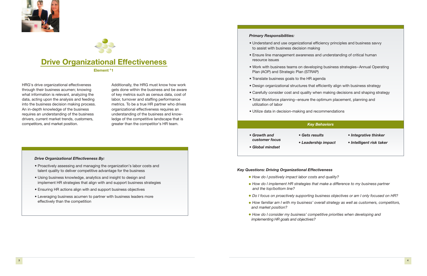HRG's drive organizational effectiveness through their business acumen; knowing what information is relevant, analyzing the data, acting upon the analysis and feeding into the business decision making process. An in-depth knowledge of the business requires an understanding of the business drivers, current market trends, customers, competitors, and market position.

Additionally, the HRG must know how work gets done within the business and be aware of key metrics such as census data, cost of labor, turnover and staffing performance metrics. To be a true HR partner who drives organizational effectiveness requires an understanding of the business and knowledge of the competitive landscape that is greater than the competitor's HR team.

### *Primary Responsibilities:*

- Understand and use organizational  $\epsilon$ to assist with business decision mak
- Ensure line management awareness resource issues
- Work with business teams on develoption Plan (AOP) and Strategic Plan (STRA
- Translate business goals to the HR a
- Design organizational structures that
- Carefully consider cost and quality w
- Total Workforce planning-ensure the utilization of labor
- Utilize data in decision-making and r

### *Drive Organizational Effectiveness By:*

- Proactively assessing and managing the organization's labor costs and talent quality to deliver competitive advantage for the business
- Using business knowledge, analytics and insight to design and implement HR strategies that align with and support business strategies
- Ensuring HR actions align with and support business objectives
- Leveraging business acumen to partner with business leaders more effectively than the competition
- *Growth and customer focus*
- Gets re • Leaders
- *Global mindset*
- 

| efficiency principles and business savvy<br>ing  |  |  |  |
|--------------------------------------------------|--|--|--|
| and understanding of critical human              |  |  |  |
| pping business strategies-Annual Operating<br>(P |  |  |  |
| ıgenda                                           |  |  |  |
| t efficiently align with business strategy       |  |  |  |
| vhen making decisions and shaping strategy       |  |  |  |
| e optimum placement, planning and                |  |  |  |
| ecommendations                                   |  |  |  |
|                                                  |  |  |  |
| <b>Behaviors</b>                                 |  |  |  |
| • Integrative thinker<br>sults:                  |  |  |  |

## *Key Questions: Driving Organizational Effectiveness*

*• How do I implement HR strategies that make a difference to my business partner*

- *• How do I positively impact labor costs and quality?*
- *and the top/bottom line?*
- 
- *and market position?*
- *implementing HR goals and objectives?*

*• Do I focus on proactively supporting business objectives or am I only focused on HR? • How familiar am I with my business' overall strategy as well as customers, competitors,* 

*• How do I consider my business' competitive priorities when developing and* 





# **Drive Organizational Effectiveness**

**Element #1**

## *Key Behaviors*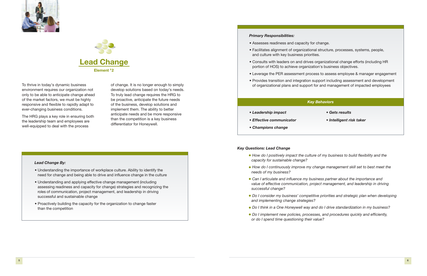### *Key Behaviors*

### *Primary Responsibilities:*

• Facilitates alignment of organizational structure, processes, systems, people,

- Assesses readiness and capacity for change.
- and culture with key business priorities.
- portion of HOS) to achieve organization's business objectives.
- 
- 

• Provides transition and integration support including assessment and development To thrive in today's dynamic business of change. It is no longer enough to simply of organizational plans and support for and management of impacted employees

• Consults with leaders on and drives organizational change efforts (including HR

• Leverage the PER assessment process to assess employee & manager engagement

environment requires our organization not only to be able to anticipate change ahead of the market factors, we must be highly responsive and flexible to rapidly adapt to ever-changing business conditions.

The HRG plays a key role in ensuring both the leadership team and employees are well-equipped to deal with the process

of change. It is no longer enough to simply develop solutions based on today's needs. To truly lead change requires the HRG to be proactive, anticipate the future needs of the business, develop solutions and implement them. The ability to better anticipate needs and be more responsive than the competition is a key business differentiator for Honeywell.

### *Key Questions: Lead Change*

*• How do I continuously improve my change management skill set to best meet the*

*• Can I articulate and influence my business partner about the importance and value of effective communication, project management, and leadership in driving* 

- *capacity for sustainable change?*
- *needs of my business?*
- *successful change?*
- *and implementing change strategies?*
- 
- *or do I spend time questioning their value?*

*• Do I consider my business' competitive priorities and strategic plan when developing* 

*• Do I think in a One Honeywell way and do I drive standardization in my business? • Do I implement new policies, processes, and procedures quickly and efficiently,* 

### *Lead Change By:*

- Understanding the importance of workplace culture. Ability to identify the need for change and being able to drive and influence change in the culture
- Understanding and applying effective change management (including assessing readiness and capacity for change) strategies and recognizing the roles of communication, project management, and leadership in driving successful and sustainable change
- Proactively building the capacity for the organization to change faster than the competition





- *Leadership impact*
- *Effective communicator*
- *Champions change*
- *Gets results*
- *Intelligent risk taker*

• How do I positively impact the culture of my business to build flexibility and the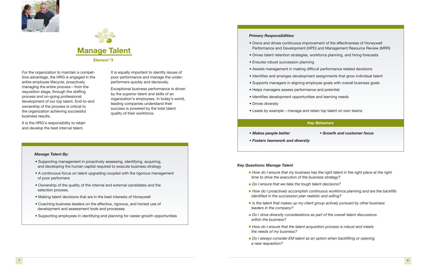### *Key Behaviors*

### *Key Questions: Manage Talent*

*• How do I ensure that my business has the right talent in the right place at the right*

- *time to drive the execution of the business strategy?*
- *• Do I ensure that we take the tough talent decisions?*
- *• How do I proactively accomplish continuous workforce planning and are the backfills identified in the succession plan realistic and willing?*
- *• Is the talent that makes up my client group actively pursued by other business leaders in the company?*
- *• Do I drive diversity considerations as part of the overall talent discussions within the business?*
- *• How do I ensure that the talent acquisition process is robust and meets the needs of my business?*
- *• Do I always consider EM talent as an option when backfilling or opening a new requestion?*

### *Primary Responsibilities:*

It is the HRG's responsibility to retain and develop the best internal talent.

- Owns and drives continuous improvement of the effectiveness of Honeywell Performance and Development (HPD) and Management Resource Review (MRR)
- Drives talent retention strategies, workforce planning, and hiring forecasts
- Ensures robust succession planning
- Assists management in making difficult performance related decisions
- Identifies and arranges development assignments that grow individual talent
- Supports managers in aligning employee goals with overall business goals
- Helps managers assess performance and potential
- Identifies development opportunities and learning needs
- Drives diversity
- Leads by example manage and retain top talent on own teams

For the organization to maintain a competitive advantage, the HRG is engaged in the entire employee lifecycle, proactively managing the entire process – from the requisition stage, through the staffing process and on-going professional development of our top talent. End-to-end ownership of the process is critical to the organization achieving successful business results.

It is equally important to identify issues of poor performance and manage the underperformers quickly and decisively.

Exceptional business performance is driven by the superior talent and skills of an organization's employees. In today's world, leading companies understand their success is powered by the total talent quality of their workforce.

### *Manage Talent By:*

- Supporting management in proactively assessing, identifying, acquiring, and developing the human capital required to execute business strategy
- A continuous focus on talent upgrading coupled with the rigorous management of poor performers
- Ownership of the quality of the internal and external candidates and the selection process.
- Making talent decisions that are in the best interests of Honeywell
- Coaching business leaders on the effective, rigorous, and honest use of development and assessment tools and processes
- Supporting employees in identifying and planning for career growth opportunities





- *Makes people better*
- *Fosters teamwork and diversity*

*• Growth and customer focus*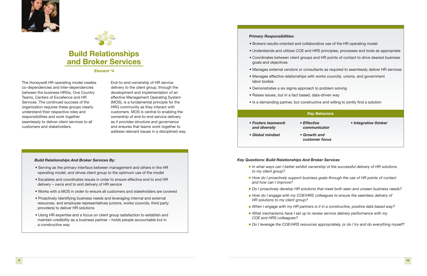*• In what ways can I better exhibit ownership of the successful delivery of HR solutions* 

*• How do I proactively support business goals through the use of HR points of contact* 

*• Do I proactively develop HR solutions that meet both seen and unseen business needs? • How do I engage with my COE/HRS colleagues to ensure the seamless delivery of* 

*• When I engage with my HR partners is it in a constructive, positive data based way? • What mechanisms have I set up to review service delivery performance with my* 

*• Do I leverage the COE/HRS resources appropriately, or do I try and do everything myself?*

### *Primary Responsibilities:*

- 
- 
- goals and objectives
- 
- labor bodies
- Demonstrates a six sigma approach to problem solving
- Raises issues, but in a fact based, data-driven way
- 

*Key Behaviors* • Brokers results-oriented and collaborative use of the HR operating model • Understands and utilizes COE and HRS principles, processes and tools as appropriate • Coordinates between client groups and HR points of contact to drive desired business • Manages external vendors or consultants as required to seamlessly deliver HR services • Manages effective relationships with works councils, unions, and government • Is a demanding partner, but constructive and willing to jointly find a solution *• Effective communicator • Growth and customer focus • Integrative thinker*

The Honeywell HR operating model creates co-dependencies and inter-dependencies between the business HRGs, One Country Teams, Centers of Excellence and HR Services. The continued success of the organization requires these groups clearly understand their respective roles and responsibilities and work together seamlessly to deliver client services to all customers and stakeholders.

- *Fosters teamwork and diversity*
- *Global mindset*
- *Key Questions: Build Relationships And Broker Services*
	- *to my client group?*
	- *and how can I improve?*
	-
	- *HR solutions to my client group?*
	-
	- *COE and HRS colleagues?*
	-

End-to-end ownership of HR service delivery to the client group, through the development and implementation of an effective Management Operating System (MOS), is a fundamental principle for the HRG community as they interact with customers. MOS is central to enabling the ownership of end-to-end service delivery as it provides structure and governance and ensures that teams work together to address relevant issues in a disciplined way.

### *Build Relationships And Broker Services By:*

- Serving as the primary interface between management and others in the HR operating model, and drives client group to the optimum use of the model
- Escalates and coordinates issues in order to ensure effective end to end HR delivery – owns end to end delivery of HR service
- Works with a MOS in order to ensure all customers and stakeholders are covered
- Proactively identifying business needs and leveraging internal and external resources, and employee representatives (unions, works councils, third party providers) to deliver HR solutions
- Using HR expertise and a focus on client group satisfaction to establish and maintain credibility as a business partner – holds people accountable but in a constructive way





# **Build Relationships and Broker Services**

**Element #4**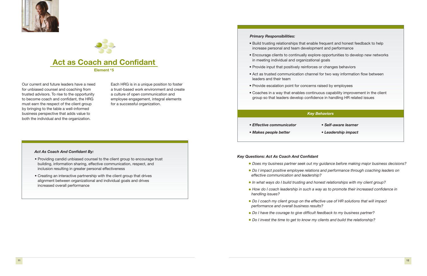## *Key Questions: Act As Coach And Confidant*

*• Does my business partner seek out my guidance before making major business decisions?*

- 
- *• Do I impact positive employee relations and performance through coaching leaders on effective communication and leadership?*
- *• In what ways do I build trusting and honest relationships with my client group?*
- *• How do I coach leadership in such a way as to promote their increased confidence in handling issues?*
- *• Do I coach my client group on the effective use of HR solutions that will impact performance and overall business results?*
- *• Do I have the courage to give difficult feedback to my business partner?*
- *• Do I invest the time to get to know my clients and build the relationship?*

Our current and future leaders have a need for unbiased counsel and coaching from trusted advisors. To rise to the opportunity to become coach and confidant, the HRG must earn the respect of the client group by bringing to the table a well-informed business perspective that adds value to both the individual and the organization.

Each HRG is in a unique position to foster a trust-based work environment and create a culture of open communication and employee engagement, integral elements for a successful organization.





**Element #5**

### *Act As Coach And Confidant By:*

- Providing candid unbiased counsel to the client group to encourage trust building, information sharing, effective communication, respect, and inclusion resulting in greater personal effectiveness
- Creating an interactive partnership with the client group that drives alignment between organizational and individual goals and drives increased overall performance

- *Key Behaviors* increase personal and team development and performance in meeting individual and organizational goals leaders and their team group so that leaders develop confidence in handling HR related issues *• Self-aware learner • Leadership impact*
- 
- *Primary Responsibilities:* • Build trusting relationships that enable frequent and honest feedback to help • Encourage clients to continually explore opportunities to develop new networks • Provide input that positively reinforces or changes behaviors • Act as trusted communication channel for two way information flow between • Provide escalation point for concerns raised by employees • Coaches in a way that enables continuous capability improvement in the client *• Effective communicator • Makes people better*
- 
- 
- 

- 
-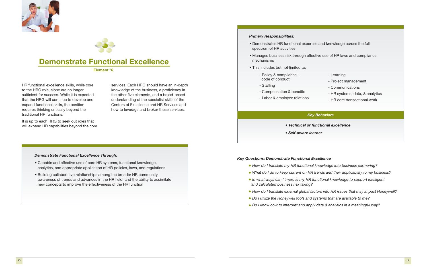### *Key Questions: Demonstrate Functional Excellence*

*• What do I do to keep current on HR trends and their applicability to my business?*

- *• How do I translate my HR functional knowledge into business partnering?*
- 
- *• In what ways can I improve my HR functional knowledge to support intelligent and calculated business risk taking?*
- 
- *• Do I utilize the Honeywell tools and systems that are available to me?*
- *• Do I know how to interpret and apply data & analytics in a meaningful way?*

*• How do I translate external global factors into HR issues that may impact Honeywell?*

HR functional excellence skills, while core to the HRG role, alone are no longer sufficient for success. While it is expected that the HRG will continue to develop and expand functional skills, the position requires thinking critically beyond the traditional HR functions.

It is up to each HRG to seek out roles that will expand HR capabilities beyond the core services. Each HRG should have an in-depth knowledge of the business, a proficiency in the other five elements, and a broad-based understanding of the specialist skills of the Centers of Excellence and HR Services and how to leverage and broker these services.





# **Demonstrate Functional Excellence**

### **Element #6**

### *Demonstrate Functional Excellence Through:*

- Capable and effective use of core HR systems, functional knowledge, analytics, and appropriate application of HR policies, laws, and regulations
- Building collaborative relationships among the broader HR community, awareness of trends and advances in the HR field, and the ability to assimilate new concepts to improve the effectiveness of the HR function

### *Key Behaviors*

### *Primary Responsibilities:*

• Manages business risk through effective use of HR laws and compliance

- Demonstrates HR functional expertise and knowledge across the full spectrum of HR activities
- mechanisms
- This includes but not limited to:
	- Policy & compliance code of conduct
	- Staffing
	- Compensation & benefits
	- Labor & employee relations

- Learning
- Project management
- Communications
- HR systems, data, & analytics
- HR core transactional work

*• Technical or functional excellence*

*• Self-aware learner*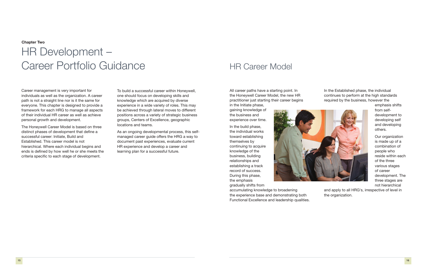All career paths have a starting point. In the Honeywell Career Model, the new HR practitioner just starting their career begins

in the Initiate phase, gaining knowledge of the business and experience over time.

In the build phase, the individual works toward establishing themselves by continuing to acquire knowledge of the business, building relationships and establishing a track record of success. During this phase, the emphasis



gradually shifts from accumulating knowledge to broadening the experience base and demonstrating both Functional Excellence and leadership qualities. In the Established phase, the individual continues to perform at the high standards required by the business, however the

> emphasis shifts from selfdevelopment to developing self and developing others.

Our organization is made up of a combination of people who reside within each of the three various stages of career development. The three stages are not hierarchical

and apply to all HRG's, irrespective of level in the organization.

# HR Career Model

Career management is very important for individuals as well as the organization. A career path is not a straight line nor is it the same for everyone. This chapter is designed to provide a framework for each HRG to manage all aspects of their individual HR career as well as achieve personal growth and development.

The Honeywell Career Model is based on three distinct phases of development that define a successful career: Initiate, Build and Established. This career model is not hierarchical. Where each individual begins and ends is defined by how well he or she meets the criteria specific to each stage of development.

To build a successful career within Honeywell, one should focus on developing skills and knowledge which are acquired by diverse experience in a wide variety of roles. This may be achieved through lateral moves to different positions across a variety of strategic business groups, Centers of Excellence, geographic locations and teams.

As an ongoing developmental process, this selfmanaged career guide offers the HRG a way to document past experiences, evaluate current HR experience and develop a career and learning plan for a successful future.

### **Chapter Two**

# HR Development – Career Portfolio Guidance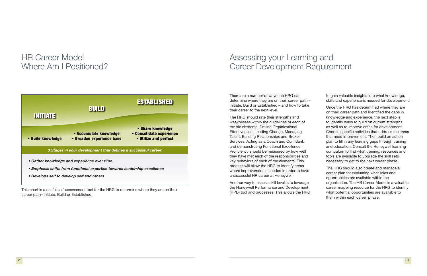This chart is a useful self-assessment tool for the HRG to determine where they are on their career path–Initiate, Build or Established.

# HR Career Model – Where Am I Positioned?



There are a number of ways the HRG can determine where they are on their career path – Initiate, Build or Established – and how to take their career to the next level.

The HRG should rate their strengths and weaknesses within the guidelines of each of the six elements: Driving Organizational Effectiveness, Leading Change, Managing Talent, Building Relationships and Broker Services, Acting as a Coach and Confidant, and demonstrating Functional Excellence. Proficiency should be measured by how well they have met each of the responsibilities and key behaviors of each of the elements. This process will allow the HRG to identify areas where improvement is needed in order to have a successful HR career at Honeywell.

Another way to assess skill level is to leverage the Honeywell Performance and Development (HPD) tool and processes. This allows the HRG to gain valuable insights into what knowledge, skills and experience is needed for development.

Once the HRG has determined where they are on their career path and identified the gaps in knowledge and experience, the next step is to identify ways to build on current strengths as well as to improve areas for development. Choose specific activities that address the areas that need improvement. Then build an action plan to fill in any learning gaps through training and education. Consult the Honeywell learning curriculum to find what training, resources and tools are available to upgrade the skill sets necessary to get to the next career phase.

The HRG should also create and manage a career plan for evaluating what roles and opportunities are available within the organization. The HR Career Model is a valuable career mapping resource for the HRG to identify what potential opportunities are available to them within each career phase.

# Assessing your Learning and Career Development Requirement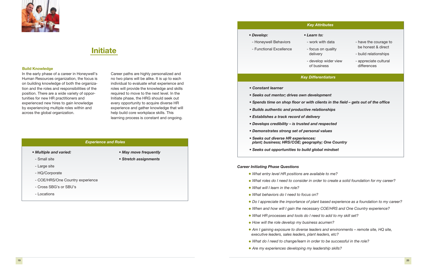### *Career Initiating Phase Questions*

*• What roles do I need to consider in order to create a solid foundation for my career?*

*• Do I appreciate the importance of plant based experience as a foundation to my career?*

*• When and how will I gain the necessary COE/HRS and One Country experience?*

- *• What entry level HR positions are available to me?*
- 
- *• What will I learn in the role?*
- *• What behaviors do I need to focus on?*
- 
- 
- *• What HR processes and tools do I need to add to my skill set?*
- *• How will the role develop my business acumen?*
- *executive leaders, sales leaders, plant leaders, etc?*
- *• What do I need to change/learn in order to be successful in the role?*
- *• Are my experiences developing my leadership skills?*

*• Am I gaining exposure to diverse leaders and environments – remote site, HQ site,* 

In the early phase of a career in Honeywell's Human Resources organization, the focus is on building knowledge of both the organization and the roles and responsibilities of the position. There are a wide variety of opportunities for new HR practitioners and experienced new hires to gain knowledge by experiencing multiple roles within and across the global organization.

*• Develop:* - Honeywell Behaviors - Functional Excellence *• Learn to:*  $-$  v

Career paths are highly personalized and no two plans will be alike. It is up to each individual to evaluate what experience and roles will provide the knowledge and skills required to move to the next level. In the Initiate phase, the HRG should seek out every opportunity to acquire diverse HR experience and gather knowledge that will help build core workplace skills. This learning process is constant and ongoing.

- *Multiple and varied:*
- 
- Small site
- Large site
- HQ/Corporate
- COE/HRS/One Country experience
- Cross SBG's or SBU's
- Locations

*• May move frequently • Stretch assignments*



## **Initiate**

*• Spends time on shop floor or with clients in the field – gets out of the office*

- *Constant learner*
- *Seeks out mentor; drives own development*
- 
- *Builds authentic and productive relationships*
- *Establishes a track record of delivery*
- *Develops credibility is trusted and respected*
- *Demonstrates strong set of personal values*
- *Seeks out diverse HR experiences: plant; business; HRS/COE; geography; One Country*
- *Seeks out opportunities to build global mindset*

### *Key Differentiators*

### *Experience and Roles*

| Learn to:                                          |                                             |
|----------------------------------------------------|---------------------------------------------|
| - work with data<br>- focus on quality<br>delivery | - have the courage to<br>be honest & direct |
|                                                    | - build relationships                       |
| - develop wider view<br>of business                | - appreciate cultural<br>differences        |
|                                                    |                                             |

## *Key Attributes*

### **Build Knowledge**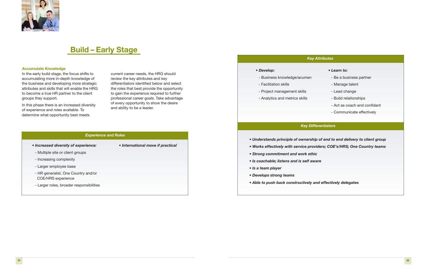In the early build stage, the focus shifts to accumulating more in-depth knowledge of the business and developing more strategic attributes and skills that will enable the HRG to become a true HR partner to the client groups they support.

In this phase there is an increased diversity of experience and roles available. To determine what opportunity best meets

current career needs, the HRG should review the key attributes and key differentiators identified below and select the roles that best provide the opportunity to gain the experience required to further professional career goals. Take advantage of every opportunity to show the desire and ability to be a leader.

- *Increased diversity of experience:*
- Multiple site or client groups
- Increasing complexity
- Larger employee base
- HR generalist, One Country and/or COE/HRS experience
- Larger roles, broader responsibilities

*• International move if practical*



## **Build – Early Stage**

### *Experience and Roles*

*• Understands principle of ownership of end to end delivery to client group • Works effectively with service providers; COE's/HRS; One Country teams*

- 
- 
- *Strong commitment and work ethic*
- *Is coachable; listens and is self aware*
- *Is a team player*

- *Develops strong teams*
- *Able to push back constructively and effectively delegates*

### *Key Differentiators*

## *Key Attributes*

*• Develop:*

- Business knowledge/acumen

- Facilitation skills

## - Project management skills

- Analytics and metrics skills

- *Learn to:*
- Be a business partner
- Manage talent
- Lead change
- Build relationships
- Act as coach and confidant
- Communicate effectively

### **Accumulate Knowledge**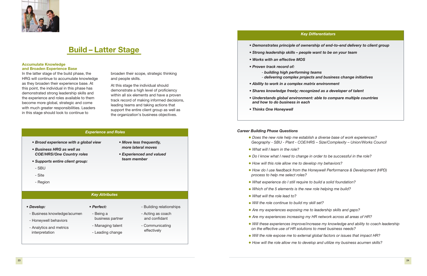In the latter stage of the build phase, the HRG will continue to accumulate knowledge as they broaden their experience base. At this point, the individual in this phase has demonstrated strong leadership skills and the experience and roles available to them become more global, strategic and come with much greater responsibilities. Leaders in this stage should look to continue to

broaden their scope, strategic thinking and people skills.

At this stage the individual should demonstrate a high level of proficiency within all six elements and have a proven track record of making informed decisions, leading teams and taking actions that support the entire client group as well as the organization's business objectives.

- *Broad experience with a global view*
- *Business HRG as well as COE/HRS/One Country roles*
- *Supports entire client group:*
- SBU
- Site
- Region

# *• Move less frequently,*

- *more lateral moves*
- *team member*
- -
	- *Experienced and valued*



## **Build – Latter Stage**

## *Experience and Roles Career Building Phase Questions*

*Geography - SBU - Plant - COE/HRS – Size/Complexity – Union/Works Council*

*• How do I use feedback from the Honeywell Performance & Development (HPD)* 

- *• Does the new role help me establish a diverse base of work experiences?*
- *• What will I learn in the role?*
- *• Do I know what I need to change in order to be successful in the role?*
- *• How will this role allow me to develop my behaviors?*
- *process to help me select roles?*
- *• What experience do I still require to build a solid foundation?*
- *• Which of the 5 elements is the new role helping me build?*
- *• What will the role lead to?*
- *• Will the role continue to build my skill set?*
- *• Are my experiences exposing me to leadership skills and gaps?*
- *• Are my experiences increasing my HR network across all areas of HR?*
- *on the effective use of HR solutions to meet business needs?*
- 
- 

*• Will these experiences improve/increase my knowledge and ability to coach leadership*

*• Will the role expose me to external global factors or issues that impact HR?*

*• How will the role allow me to develop and utilize my business acumen skills?*

*• Demonstrates principle of ownership of end-to-end delivery to client group*

- *delivering complex projects and business change initiatives*

- 
- *Strong leadership skills people want to be on your team*
- *Works with an effective MOS*
- *Proven track record of:*
	- *building high performing teams*
- *Ability to work in a complex matrix environment*
- *Shares knowledge freely; recognized as a developer of talent*
- *Understands global environment: able to compare multiple countries and how to do business in each*
- *Thinks One Honeywell*

### *Key Differentiators*

### *Key Attributes*

- *Develop:*
- Business knowledge/acumen
- Honeywell behaviors
- Analytics and metrics interpretation
- 
- *Perfect:* - Being a
- business partner
- Managing talent - Leading change
- 
- Building relationships
- Acting as coach and confidant
- Communicating effectively

### **Accumulate Knowledge and Broaden Experience Base**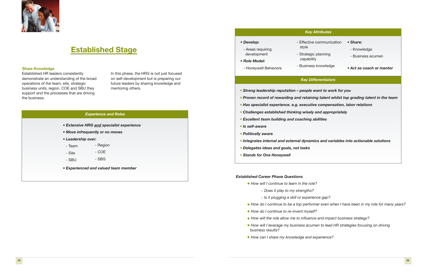Established HR leaders consistently demonstrate an understanding of the broad operations of the team, site, strategic business units, region, COE and SBU they support and the processes that are driving the business.

In this phase, the HRG is not just focused on self-development but is preparing our future leaders by sharing knowledge and mentoring others.

- *Extensive HRG and specialist experience*
- *Move infrequently or no moves*
- *Leadership over:*
- Team - Region
- Site - COE
- SBU - SBG
- *Experienced and valued team member*
- *Strong leadership reputation people wanted*
- Proven record of rewarding and retaining
- **•** Has specialist experience. e.g. executiv
- Challenges established thinking wisely
- Excellent team building and coaching a
- *• Is self-aware*
- *• Politically aware*
- **•** *Integrates internal and external dynami*cs
- *• Delegates ideas and goals, not tasks*
- *• Stands for One Honeywell*



# **Established Stage**

## *Experience and Roles*

## - Effective style

*• Develop:*

- Areas requiring development
- *Role Model:*

- Honeywell Behaviors

## *Key Diff*

| <b>Key Attributes</b>                                                                                                                                                                          |                                                                          |  |  |  |
|------------------------------------------------------------------------------------------------------------------------------------------------------------------------------------------------|--------------------------------------------------------------------------|--|--|--|
| - Effective communication<br>style<br>- Strategic planning<br>capability<br>- Business knowledge                                                                                               | • Share:<br>- Knowledge<br>- Business acumen<br>• Act as coach or mentor |  |  |  |
| <b>Key Differentiators</b>                                                                                                                                                                     |                                                                          |  |  |  |
| - people want to work for you<br>nd retaining talent whilst top grading talent in the team<br>g. executive compensation, labor relations<br>ing wisely and appropriately<br>coaching abilities |                                                                          |  |  |  |
| nal dynamics and variables into actionable solutions<br>ot tasks                                                                                                                               |                                                                          |  |  |  |

### *Established Career Phase Questions*

*• How do I continue to be a top performer even when I have been in my role for many years?*

- *• How will I continue to learn in the role?*
	- *- Does it play to my strengths?*
	- *- Is it plugging a skill or experience gap?*
- 
- *• How do I continue to re-invent myself?*
- *• How will the role allow me to influence and impact business strategy?*
- *business results?*
- *• How can I share my knowledge and experience?*

*• How will I leverage my business acumen to lead HR strategies focusing on driving* 

### **Share Knowledge**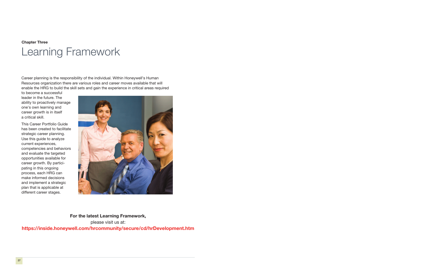Career planning is the responsibility of the individual. Within Honeywell's Human Resources organization there are various roles and career moves available that will enable the HRG to build the skill sets and gain the experience in critical areas required

to become a successful leader in the future. The ability to proactively manage one's own learning and career growth is in itself a critical skill.

This Career Portfolio Guide has been created to facilitate strategic career planning. Use this guide to analyze current experiences, competencies and behaviors and evaluate the targeted opportunities available for career growth. By participating in this ongoing process, each HRG can make informed decisions and implement a strategic plan that is applicable at different career stages.



# **Chapter Three** Learning Framework

**For the latest Learning Framework,**  please visit us at: **https://inside.honeywell.com/hrcommunity/secure/cd/hrDevelopment.htm**